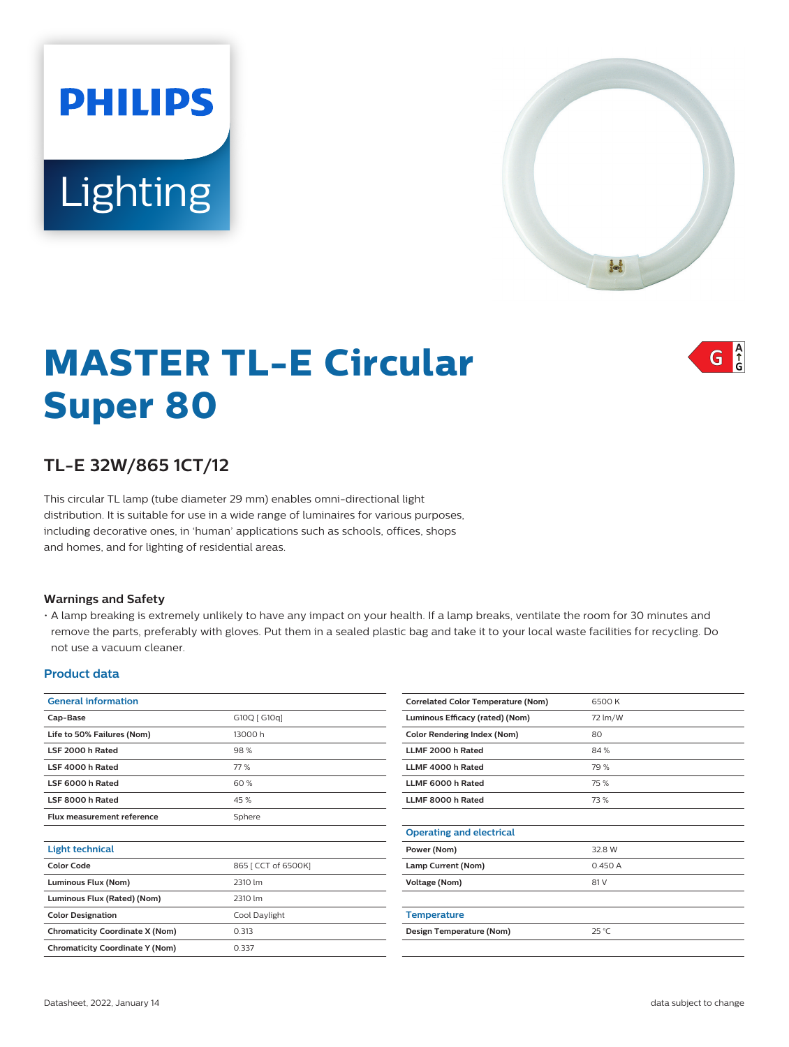# **PHILIPS** Lighting



 $G \nvert_{G}^A$ 

# **MASTER TL-E Circular Super 80**

## **TL-E 32W/865 1CT/12**

This circular TL lamp (tube diameter 29 mm) enables omni-directional light distribution. It is suitable for use in a wide range of luminaires for various purposes, including decorative ones, in 'human' applications such as schools, offices, shops and homes, and for lighting of residential areas.

#### **Warnings and Safety**

• A lamp breaking is extremely unlikely to have any impact on your health. If a lamp breaks, ventilate the room for 30 minutes and remove the parts, preferably with gloves. Put them in a sealed plastic bag and take it to your local waste facilities for recycling. Do not use a vacuum cleaner.

#### **Product data**

| <b>General information</b>             |                     |
|----------------------------------------|---------------------|
| Cap-Base                               | G10Q [ G10q]        |
| Life to 50% Failures (Nom)             | 13000 h             |
| LSF 2000 h Rated                       | 98%                 |
| LSF 4000 h Rated                       | 77%                 |
| LSF 6000 h Rated                       | 60%                 |
| LSF 8000 h Rated                       | 45%                 |
| Flux measurement reference             | Sphere              |
|                                        |                     |
| <b>Light technical</b>                 |                     |
| <b>Color Code</b>                      | 865   CCT of 6500K] |
| Luminous Flux (Nom)                    | 2310 lm             |
| Luminous Flux (Rated) (Nom)            | 2310 lm             |
| <b>Color Designation</b>               | Cool Daylight       |
| <b>Chromaticity Coordinate X (Nom)</b> | 0.313               |
| <b>Chromaticity Coordinate Y (Nom)</b> | 0.337               |
|                                        |                     |

| <b>Correlated Color Temperature (Nom)</b> | 6500 K         |
|-------------------------------------------|----------------|
| Luminous Efficacy (rated) (Nom)           | 72 lm/W        |
| <b>Color Rendering Index (Nom)</b>        | 80             |
| LLMF 2000 h Rated                         | 84 %           |
| LLMF 4000 h Rated                         | 79 %           |
| LLMF 6000 h Rated                         | 75%            |
| LLMF 8000 h Rated                         | 73%            |
|                                           |                |
| <b>Operating and electrical</b>           |                |
| Power (Nom)                               | 32.8 W         |
| Lamp Current (Nom)                        | 0.450A         |
| Voltage (Nom)                             | 81 V           |
|                                           |                |
| <b>Temperature</b>                        |                |
| Design Temperature (Nom)                  | $25^{\circ}$ C |
|                                           |                |